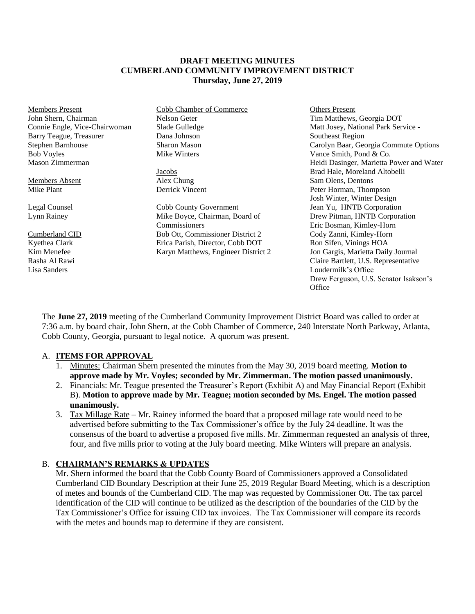#### **DRAFT MEETING MINUTES CUMBERLAND COMMUNITY IMPROVEMENT DISTRICT Thursday, June 27, 2019**

| <b>Members Present</b>        | <b>Cobb Chamber of Commerce</b>     | Others Present                           |
|-------------------------------|-------------------------------------|------------------------------------------|
| John Shern, Chairman          | Nelson Geter                        | Tim Matthews, Georgia DOT                |
| Connie Engle, Vice-Chairwoman | Slade Gulledge                      | Matt Josey, National Park Service -      |
| Barry Teague, Treasurer       | Dana Johnson                        | Southeast Region                         |
| Stephen Barnhouse             | Sharon Mason                        | Carolyn Baar, Georgia Commute Options    |
| <b>Bob Voyles</b>             | Mike Winters                        | Vance Smith, Pond & Co.                  |
| Mason Zimmerman               |                                     | Heidi Dasinger, Marietta Power and Water |
|                               | Jacobs                              | Brad Hale, Moreland Altobelli            |
| Members Absent                | Alex Chung                          | Sam Olens, Dentons                       |
| Mike Plant                    | Derrick Vincent                     | Peter Horman, Thompson                   |
|                               |                                     | Josh Winter, Winter Design               |
| Legal Counsel                 | Cobb County Government              | Jean Yu, HNTB Corporation                |
| Lynn Rainey                   | Mike Boyce, Chairman, Board of      | Drew Pitman, HNTB Corporation            |
|                               | Commissioners                       | Eric Bosman, Kimley-Horn                 |
| Cumberland CID                | Bob Ott, Commissioner District 2    | Cody Zanni, Kimley-Horn                  |
| Kyethea Clark                 | Erica Parish, Director, Cobb DOT    | Ron Sifen, Vinings HOA                   |
| Kim Menefee                   | Karyn Matthews, Engineer District 2 | Jon Gargis, Marietta Daily Journal       |
| Rasha Al Rawi                 |                                     | Claire Bartlett, U.S. Representative     |
| Lisa Sanders                  |                                     | Loudermilk's Office                      |

The **June 27, 2019** meeting of the Cumberland Community Improvement District Board was called to order at 7:36 a.m. by board chair, John Shern, at the Cobb Chamber of Commerce, 240 Interstate North Parkway, Atlanta, Cobb County, Georgia, pursuant to legal notice. A quorum was present.

Drew Ferguson, U.S. Senator Isakson's

**Office** 

## A. **ITEMS FOR APPROVAL**

- 1. Minutes: Chairman Shern presented the minutes from the May 30, 2019 board meeting. **Motion to approve made by Mr. Voyles; seconded by Mr. Zimmerman. The motion passed unanimously.**
- 2. Financials: Mr. Teague presented the Treasurer's Report (Exhibit A) and May Financial Report (Exhibit B). **Motion to approve made by Mr. Teague; motion seconded by Ms. Engel. The motion passed unanimously.**
- 3. Tax Millage Rate Mr. Rainey informed the board that a proposed millage rate would need to be advertised before submitting to the Tax Commissioner's office by the July 24 deadline. It was the consensus of the board to advertise a proposed five mills. Mr. Zimmerman requested an analysis of three, four, and five mills prior to voting at the July board meeting. Mike Winters will prepare an analysis.

## B. **CHAIRMAN'S REMARKS & UPDATES**

Mr. Shern informed the board that the Cobb County Board of Commissioners approved a Consolidated Cumberland CID Boundary Description at their June 25, 2019 Regular Board Meeting, which is a description of metes and bounds of the Cumberland CID. The map was requested by Commissioner Ott. The tax parcel identification of the CID will continue to be utilized as the description of the boundaries of the CID by the Tax Commissioner's Office for issuing CID tax invoices. The Tax Commissioner will compare its records with the metes and bounds map to determine if they are consistent.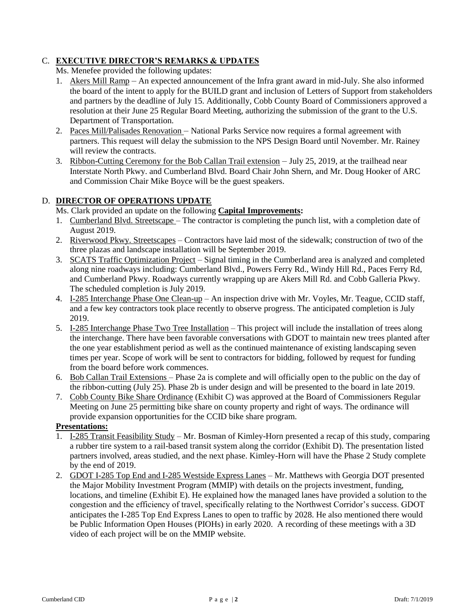# C. **EXECUTIVE DIRECTOR'S REMARKS & UPDATES**

Ms. Menefee provided the following updates:

- 1. Akers Mill Ramp An expected announcement of the Infra grant award in mid-July. She also informed the board of the intent to apply for the BUILD grant and inclusion of Letters of Support from stakeholders and partners by the deadline of July 15. Additionally, Cobb County Board of Commissioners approved a resolution at their June 25 Regular Board Meeting, authorizing the submission of the grant to the U.S. Department of Transportation.
- 2. Paces Mill/Palisades Renovation National Parks Service now requires a formal agreement with partners. This request will delay the submission to the NPS Design Board until November. Mr. Rainey will review the contracts.
- 3. Ribbon-Cutting Ceremony for the Bob Callan Trail extension July 25, 2019, at the trailhead near Interstate North Pkwy. and Cumberland Blvd. Board Chair John Shern, and Mr. Doug Hooker of ARC and Commission Chair Mike Boyce will be the guest speakers.

# D. **DIRECTOR OF OPERATIONS UPDATE**

Ms. Clark provided an update on the following **Capital Improvements:**

- 1. Cumberland Blvd. Streetscape The contractor is completing the punch list, with a completion date of August 2019.
- 2. Riverwood Pkwy. Streetscapes Contractors have laid most of the sidewalk; construction of two of the three plazas and landscape installation will be September 2019.
- 3. SCATS Traffic Optimization Project Signal timing in the Cumberland area is analyzed and completed along nine roadways including: Cumberland Blvd., Powers Ferry Rd., Windy Hill Rd., Paces Ferry Rd, and Cumberland Pkwy. Roadways currently wrapping up are Akers Mill Rd. and Cobb Galleria Pkwy. The scheduled completion is July 2019.
- 4. I-285 Interchange Phase One Clean-up An inspection drive with Mr. Voyles, Mr. Teague, CCID staff, and a few key contractors took place recently to observe progress. The anticipated completion is July 2019.
- 5. I-285 Interchange Phase Two Tree Installation This project will include the installation of trees along the interchange. There have been favorable conversations with GDOT to maintain new trees planted after the one year establishment period as well as the continued maintenance of existing landscaping seven times per year. Scope of work will be sent to contractors for bidding, followed by request for funding from the board before work commences.
- 6. Bob Callan Trail Extensions Phase 2a is complete and will officially open to the public on the day of the ribbon-cutting (July 25). Phase 2b is under design and will be presented to the board in late 2019.
- 7. Cobb County Bike Share Ordinance (Exhibit C) was approved at the Board of Commissioners Regular Meeting on June 25 permitting bike share on county property and right of ways. The ordinance will provide expansion opportunities for the CCID bike share program.

# **Presentations:**

- 1. I-285 Transit Feasibility Study Mr. Bosman of Kimley-Horn presented a recap of this study, comparing a rubber tire system to a rail-based transit system along the corridor (Exhibit D). The presentation listed partners involved, areas studied, and the next phase. Kimley-Horn will have the Phase 2 Study complete by the end of 2019.
- 2. GDOT I-285 Top End and I-285 Westside Express Lanes Mr. Matthews with Georgia DOT presented the Major Mobility Investment Program (MMIP) with details on the projects investment, funding, locations, and timeline (Exhibit E). He explained how the managed lanes have provided a solution to the congestion and the efficiency of travel, specifically relating to the Northwest Corridor's success. GDOT anticipates the I-285 Top End Express Lanes to open to traffic by 2028. He also mentioned there would be Public Information Open Houses (PIOHs) in early 2020. A recording of these meetings with a 3D video of each project will be on the MMIP website.